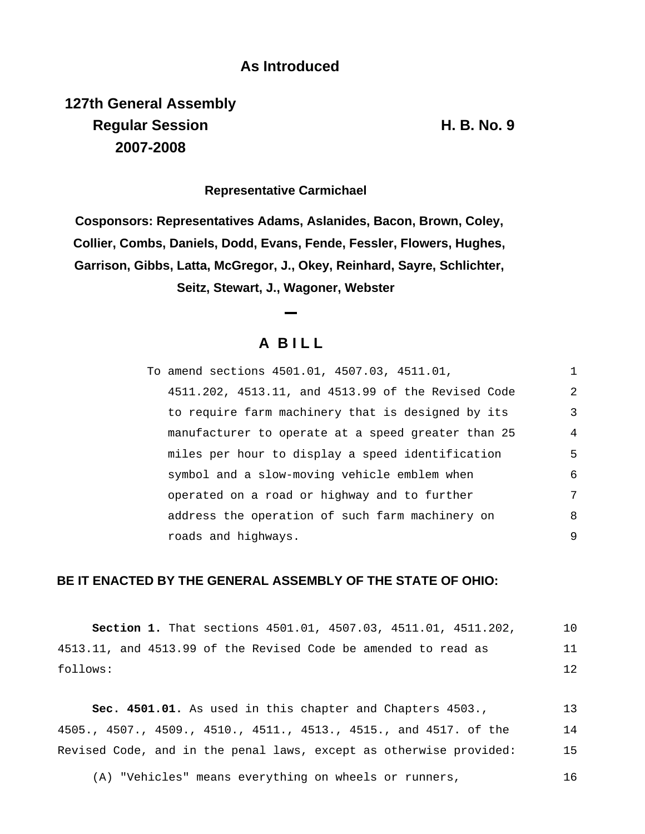## **As Introduced**

**127th General Assembly Regular Session Contract Contract Contract Contract Contract Contract Contract Contract Contract Contract Contract Contract Contract Contract Contract Contract Contract Contract Contract Contract Contract Contract Contrac 2007-2008**

## **Representative Carmichael**

**Cosponsors: Representatives Adams, Aslanides, Bacon, Brown, Coley, Collier, Combs, Daniels, Dodd, Evans, Fende, Fessler, Flowers, Hughes, Garrison, Gibbs, Latta, McGregor, J., Okey, Reinhard, Sayre, Schlichter, Seitz, Stewart, J., Wagoner, Webster**

# **A B I L L**

| To amend sections 4501.01, 4507.03, 4511.01,       | 1              |
|----------------------------------------------------|----------------|
| 4511.202, 4513.11, and 4513.99 of the Revised Code | $\overline{2}$ |
| to require farm machinery that is designed by its  | 3              |
| manufacturer to operate at a speed greater than 25 | $\overline{4}$ |
| miles per hour to display a speed identification   | 5              |
| symbol and a slow-moving vehicle emblem when       | 6              |
| operated on a road or highway and to further       | 7              |
| address the operation of such farm machinery on    | 8              |
| roads and highways.                                | 9              |

## **BE IT ENACTED BY THE GENERAL ASSEMBLY OF THE STATE OF OHIO:**

|          |  |  |  |  |  |                                                                | <b>Section 1.</b> That sections 4501.01, 4507.03, 4511.01, 4511.202, | 10 |
|----------|--|--|--|--|--|----------------------------------------------------------------|----------------------------------------------------------------------|----|
|          |  |  |  |  |  | 4513.11, and 4513.99 of the Revised Code be amended to read as |                                                                      | 11 |
| follows: |  |  |  |  |  |                                                                |                                                                      | 12 |

**Sec. 4501.01.** As used in this chapter and Chapters 4503., 4505., 4507., 4509., 4510., 4511., 4513., 4515., and 4517. of the Revised Code, and in the penal laws, except as otherwise provided: 13 14 15

(A) "Vehicles" means everything on wheels or runners, 16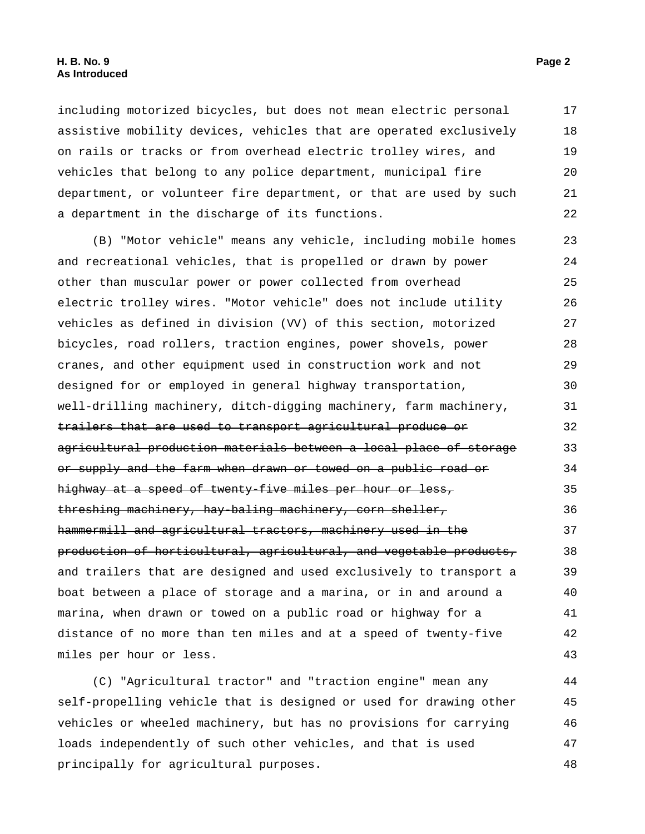including motorized bicycles, but does not mean electric personal assistive mobility devices, vehicles that are operated exclusively on rails or tracks or from overhead electric trolley wires, and vehicles that belong to any police department, municipal fire department, or volunteer fire department, or that are used by such a department in the discharge of its functions. 17 18 19 20 21 22

(B) "Motor vehicle" means any vehicle, including mobile homes and recreational vehicles, that is propelled or drawn by power other than muscular power or power collected from overhead electric trolley wires. "Motor vehicle" does not include utility vehicles as defined in division (VV) of this section, motorized bicycles, road rollers, traction engines, power shovels, power cranes, and other equipment used in construction work and not designed for or employed in general highway transportation, well-drilling machinery, ditch-digging machinery, farm machinery, trailers that are used to transport agricultural produce or agricultural production materials between a local place of storage or supply and the farm when drawn or towed on a public road or highway at a speed of twenty-five miles per hour or less, threshing machinery, hay-baling machinery, corn sheller, hammermill and agricultural tractors, machinery used in the production of horticultural, agricultural, and vegetable products, and trailers that are designed and used exclusively to transport a boat between a place of storage and a marina, or in and around a marina, when drawn or towed on a public road or highway for a distance of no more than ten miles and at a speed of twenty-five miles per hour or less. 23 24 25 26 27 28 29 30 31 32 33 34 35 36 37 38 39 40 41 42 43

(C) "Agricultural tractor" and "traction engine" mean any self-propelling vehicle that is designed or used for drawing other vehicles or wheeled machinery, but has no provisions for carrying loads independently of such other vehicles, and that is used principally for agricultural purposes. 44 45 46 47 48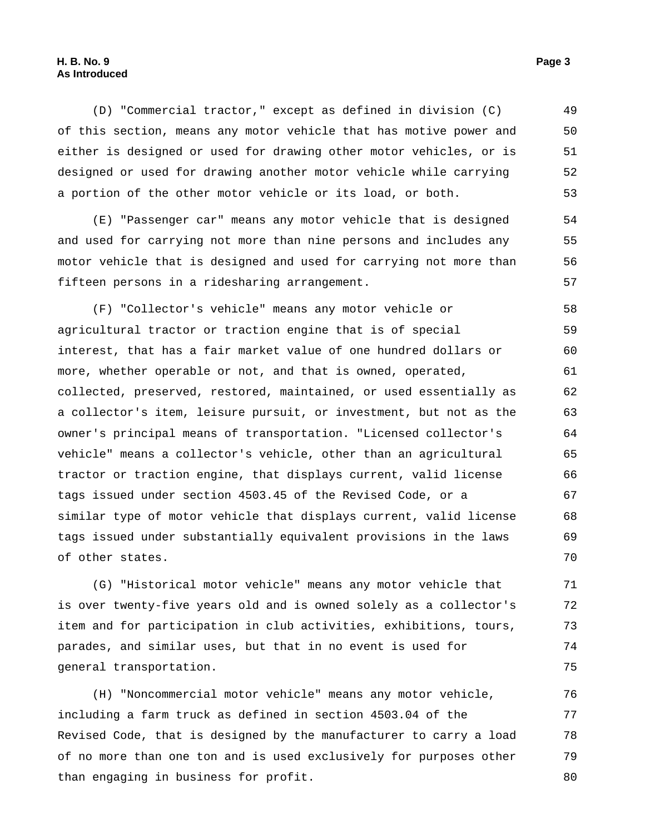#### **H. B. No. 9 Page 3 As Introduced**

(D) "Commercial tractor," except as defined in division (C) of this section, means any motor vehicle that has motive power and either is designed or used for drawing other motor vehicles, or is designed or used for drawing another motor vehicle while carrying a portion of the other motor vehicle or its load, or both. 49 50 51 52 53

(E) "Passenger car" means any motor vehicle that is designed and used for carrying not more than nine persons and includes any motor vehicle that is designed and used for carrying not more than fifteen persons in a ridesharing arrangement. 54 55 56 57

(F) "Collector's vehicle" means any motor vehicle or agricultural tractor or traction engine that is of special interest, that has a fair market value of one hundred dollars or more, whether operable or not, and that is owned, operated, collected, preserved, restored, maintained, or used essentially as a collector's item, leisure pursuit, or investment, but not as the owner's principal means of transportation. "Licensed collector's vehicle" means a collector's vehicle, other than an agricultural tractor or traction engine, that displays current, valid license tags issued under section 4503.45 of the Revised Code, or a similar type of motor vehicle that displays current, valid license tags issued under substantially equivalent provisions in the laws of other states. 58 59 60 61 62 63 64 65 66 67 68 69 70

(G) "Historical motor vehicle" means any motor vehicle that is over twenty-five years old and is owned solely as a collector's item and for participation in club activities, exhibitions, tours, parades, and similar uses, but that in no event is used for general transportation.

(H) "Noncommercial motor vehicle" means any motor vehicle, including a farm truck as defined in section 4503.04 of the Revised Code, that is designed by the manufacturer to carry a load of no more than one ton and is used exclusively for purposes other than engaging in business for profit. 76 77 78 79

80

71 72 73

74 75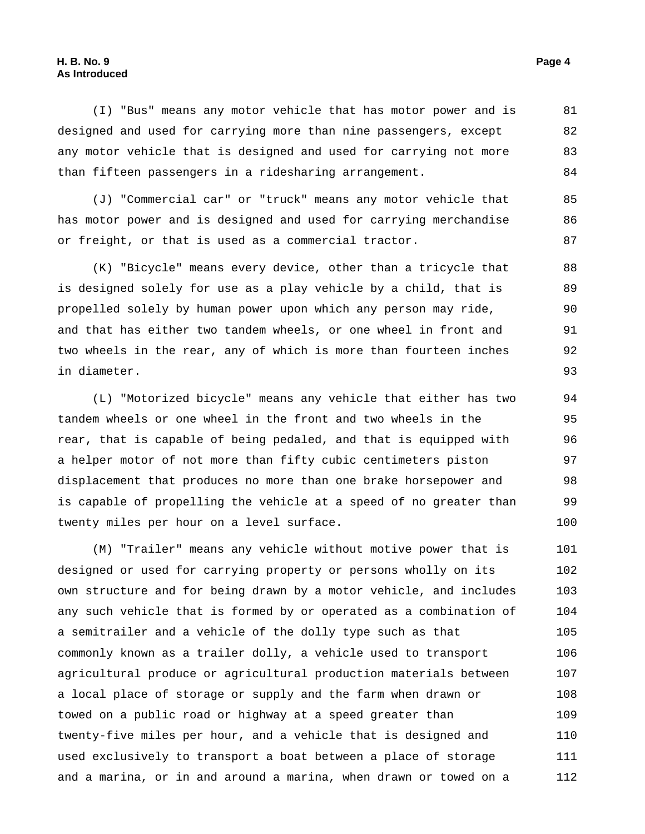#### **H. B. No. 9 Page 4 As Introduced**

(I) "Bus" means any motor vehicle that has motor power and is designed and used for carrying more than nine passengers, except any motor vehicle that is designed and used for carrying not more than fifteen passengers in a ridesharing arrangement. 81 82 83 84

(J) "Commercial car" or "truck" means any motor vehicle that has motor power and is designed and used for carrying merchandise or freight, or that is used as a commercial tractor. 85 86 87

(K) "Bicycle" means every device, other than a tricycle that is designed solely for use as a play vehicle by a child, that is propelled solely by human power upon which any person may ride, and that has either two tandem wheels, or one wheel in front and two wheels in the rear, any of which is more than fourteen inches in diameter. 88 89 90 91 92 93

(L) "Motorized bicycle" means any vehicle that either has two tandem wheels or one wheel in the front and two wheels in the rear, that is capable of being pedaled, and that is equipped with a helper motor of not more than fifty cubic centimeters piston displacement that produces no more than one brake horsepower and is capable of propelling the vehicle at a speed of no greater than twenty miles per hour on a level surface. 100

(M) "Trailer" means any vehicle without motive power that is designed or used for carrying property or persons wholly on its own structure and for being drawn by a motor vehicle, and includes any such vehicle that is formed by or operated as a combination of a semitrailer and a vehicle of the dolly type such as that commonly known as a trailer dolly, a vehicle used to transport agricultural produce or agricultural production materials between a local place of storage or supply and the farm when drawn or towed on a public road or highway at a speed greater than twenty-five miles per hour, and a vehicle that is designed and used exclusively to transport a boat between a place of storage and a marina, or in and around a marina, when drawn or towed on a 101 102 103 104 105 106 107 108 109 110 111 112

94

95 96

97 98 99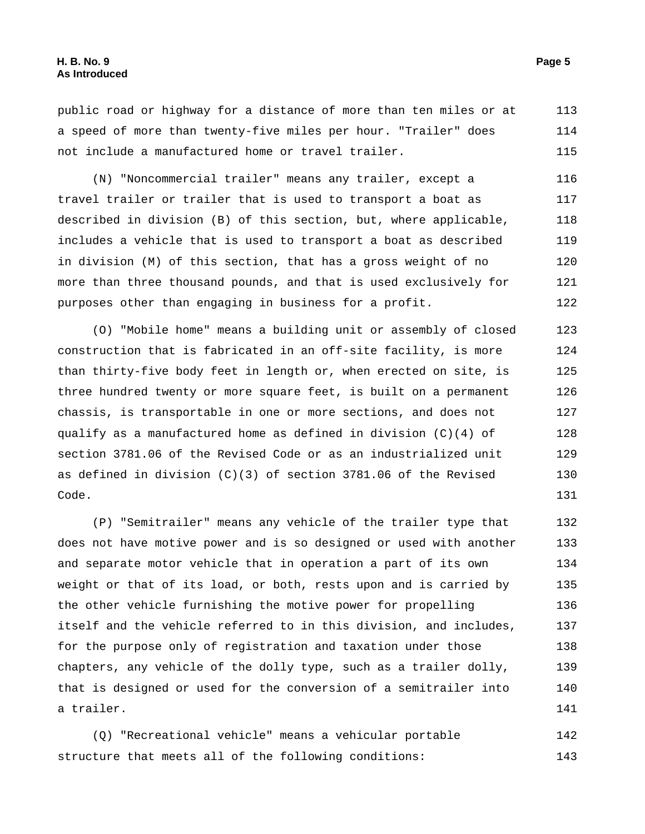public road or highway for a distance of more than ten miles or at a speed of more than twenty-five miles per hour. "Trailer" does not include a manufactured home or travel trailer. 113 114 115

(N) "Noncommercial trailer" means any trailer, except a travel trailer or trailer that is used to transport a boat as described in division (B) of this section, but, where applicable, includes a vehicle that is used to transport a boat as described in division (M) of this section, that has a gross weight of no more than three thousand pounds, and that is used exclusively for purposes other than engaging in business for a profit. 116 117 118 119 120 121 122

(O) "Mobile home" means a building unit or assembly of closed construction that is fabricated in an off-site facility, is more than thirty-five body feet in length or, when erected on site, is three hundred twenty or more square feet, is built on a permanent chassis, is transportable in one or more sections, and does not qualify as a manufactured home as defined in division  $(C)(4)$  of section 3781.06 of the Revised Code or as an industrialized unit as defined in division (C)(3) of section 3781.06 of the Revised Code. 123 124 125 126 127 128 129 130 131

(P) "Semitrailer" means any vehicle of the trailer type that does not have motive power and is so designed or used with another and separate motor vehicle that in operation a part of its own weight or that of its load, or both, rests upon and is carried by the other vehicle furnishing the motive power for propelling itself and the vehicle referred to in this division, and includes, for the purpose only of registration and taxation under those chapters, any vehicle of the dolly type, such as a trailer dolly, that is designed or used for the conversion of a semitrailer into a trailer. 132 133 134 135 136 137 138 139 140 141

(Q) "Recreational vehicle" means a vehicular portable structure that meets all of the following conditions: 142 143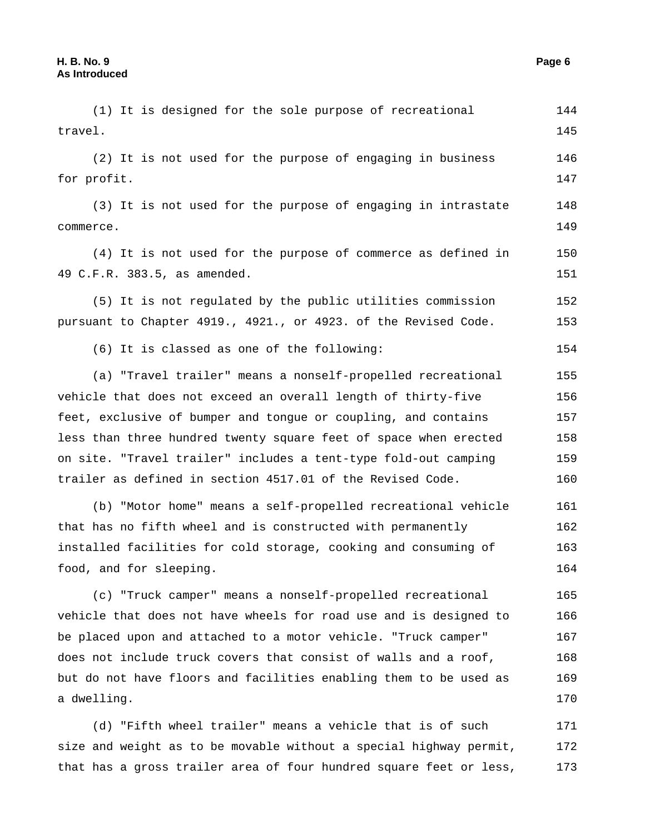| (1) It is designed for the sole purpose of recreational                   | 144        |
|---------------------------------------------------------------------------|------------|
| travel.                                                                   | 145        |
| (2) It is not used for the purpose of engaging in business                | 146        |
| for profit.                                                               | 147        |
| (3) It is not used for the purpose of engaging in intrastate<br>commerce. | 148<br>149 |
|                                                                           |            |
| (4) It is not used for the purpose of commerce as defined in              | 150        |
| 49 C.F.R. 383.5, as amended.                                              | 151        |
| (5) It is not regulated by the public utilities commission                | 152        |
| pursuant to Chapter 4919., 4921., or 4923. of the Revised Code.           | 153        |
| (6) It is classed as one of the following:                                | 154        |
| (a) "Travel trailer" means a nonself-propelled recreational               | 155        |
| vehicle that does not exceed an overall length of thirty-five             | 156        |
| feet, exclusive of bumper and tongue or coupling, and contains            | 157        |
| less than three hundred twenty square feet of space when erected          | 158        |
| on site. "Travel trailer" includes a tent-type fold-out camping           | 159        |
| trailer as defined in section 4517.01 of the Revised Code.                | 160        |
| (b) "Motor home" means a self-propelled recreational vehicle              | 161        |
| that has no fifth wheel and is constructed with permanently               | 162        |
| installed facilities for cold storage, cooking and consuming of           | 163        |
| food, and for sleeping.                                                   | 164        |
| (c) "Truck camper" means a nonself-propelled recreational                 | 165        |
| vehicle that does not have wheels for road use and is designed to         | 166        |
| be placed upon and attached to a motor vehicle. "Truck camper"            | 167        |
| does not include truck covers that consist of walls and a roof,           | 168        |

but do not have floors and facilities enabling them to be used as a dwelling. 169 170

(d) "Fifth wheel trailer" means a vehicle that is of such size and weight as to be movable without a special highway permit, that has a gross trailer area of four hundred square feet or less, 171 172 173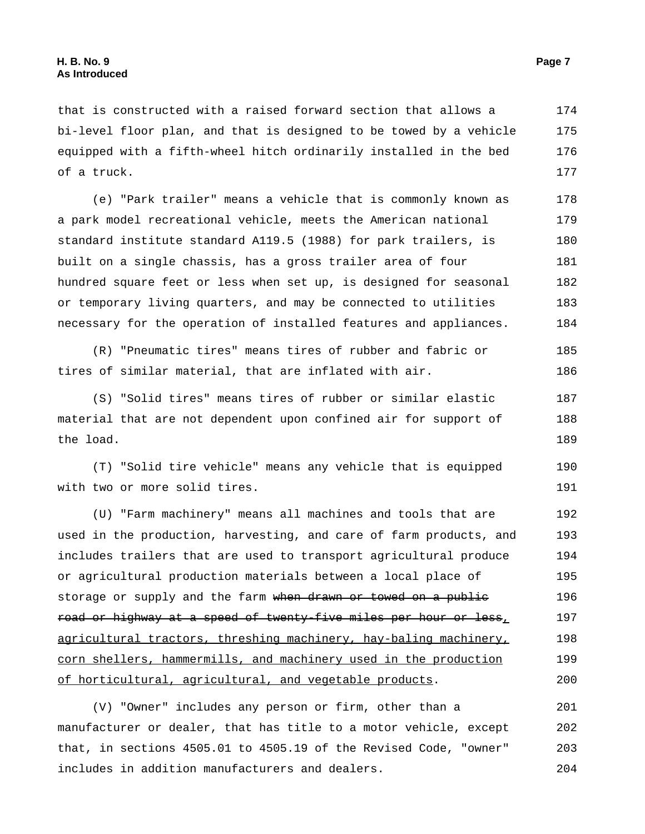that is constructed with a raised forward section that allows a bi-level floor plan, and that is designed to be towed by a vehicle equipped with a fifth-wheel hitch ordinarily installed in the bed of a truck. 174 175 176 177

(e) "Park trailer" means a vehicle that is commonly known as a park model recreational vehicle, meets the American national standard institute standard A119.5 (1988) for park trailers, is built on a single chassis, has a gross trailer area of four hundred square feet or less when set up, is designed for seasonal or temporary living quarters, and may be connected to utilities necessary for the operation of installed features and appliances. 178 179 180 181 182 183 184

(R) "Pneumatic tires" means tires of rubber and fabric or tires of similar material, that are inflated with air. 185 186

(S) "Solid tires" means tires of rubber or similar elastic material that are not dependent upon confined air for support of the load. 187 188 189

(T) "Solid tire vehicle" means any vehicle that is equipped with two or more solid tires. 190 191

(U) "Farm machinery" means all machines and tools that are used in the production, harvesting, and care of farm products, and includes trailers that are used to transport agricultural produce or agricultural production materials between a local place of storage or supply and the farm when drawn or towed on a public road or highway at a speed of twenty-five miles per hour or less, agricultural tractors, threshing machinery, hay-baling machinery, corn shellers, hammermills, and machinery used in the production of horticultural, agricultural, and vegetable products. 192 193 194 195 196 197 198 199 200

(V) "Owner" includes any person or firm, other than a manufacturer or dealer, that has title to a motor vehicle, except that, in sections 4505.01 to 4505.19 of the Revised Code, "owner" includes in addition manufacturers and dealers. 201 202 203 204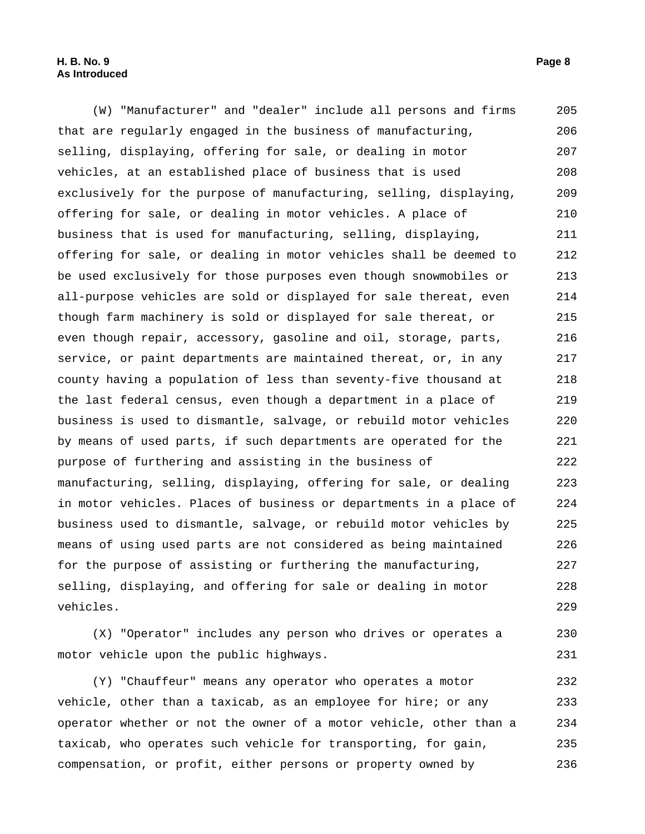(W) "Manufacturer" and "dealer" include all persons and firms that are regularly engaged in the business of manufacturing, selling, displaying, offering for sale, or dealing in motor vehicles, at an established place of business that is used exclusively for the purpose of manufacturing, selling, displaying, offering for sale, or dealing in motor vehicles. A place of business that is used for manufacturing, selling, displaying, offering for sale, or dealing in motor vehicles shall be deemed to be used exclusively for those purposes even though snowmobiles or all-purpose vehicles are sold or displayed for sale thereat, even though farm machinery is sold or displayed for sale thereat, or even though repair, accessory, gasoline and oil, storage, parts, service, or paint departments are maintained thereat, or, in any county having a population of less than seventy-five thousand at the last federal census, even though a department in a place of business is used to dismantle, salvage, or rebuild motor vehicles by means of used parts, if such departments are operated for the purpose of furthering and assisting in the business of manufacturing, selling, displaying, offering for sale, or dealing in motor vehicles. Places of business or departments in a place of business used to dismantle, salvage, or rebuild motor vehicles by means of using used parts are not considered as being maintained for the purpose of assisting or furthering the manufacturing, selling, displaying, and offering for sale or dealing in motor vehicles. 205 206 207 208 209 210 211 212 213 214 215 216 217 218 219 220 221 222 223 224 225 226 227 228 229

(X) "Operator" includes any person who drives or operates a motor vehicle upon the public highways. 230 231

(Y) "Chauffeur" means any operator who operates a motor vehicle, other than a taxicab, as an employee for hire; or any operator whether or not the owner of a motor vehicle, other than a taxicab, who operates such vehicle for transporting, for gain, compensation, or profit, either persons or property owned by 232 233 234 235 236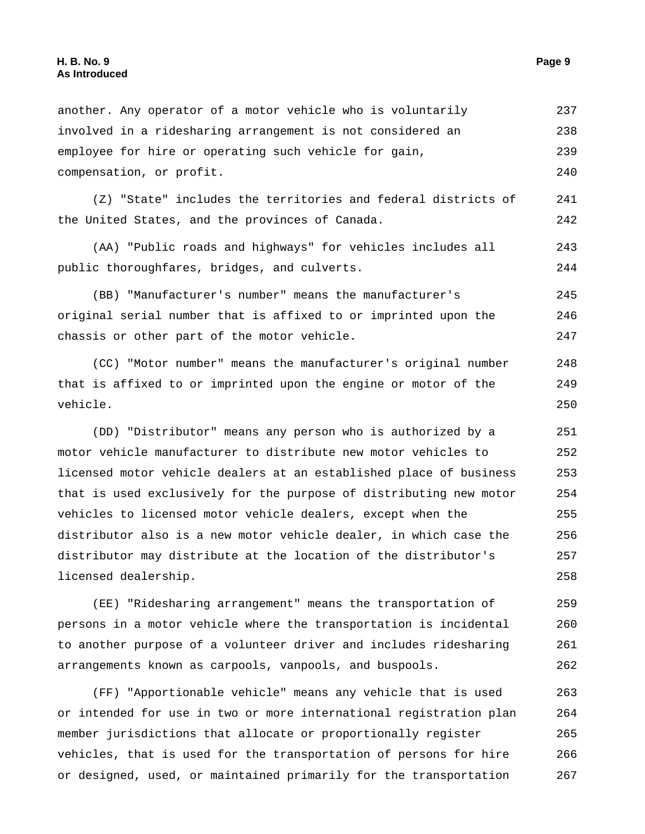another. Any operator of a motor vehicle who is voluntarily involved in a ridesharing arrangement is not considered an employee for hire or operating such vehicle for gain, compensation, or profit. 237 238 239 240

(Z) "State" includes the territories and federal districts of the United States, and the provinces of Canada. 241 242

(AA) "Public roads and highways" for vehicles includes all public thoroughfares, bridges, and culverts. 243 244

(BB) "Manufacturer's number" means the manufacturer's original serial number that is affixed to or imprinted upon the chassis or other part of the motor vehicle. 245 246 247

(CC) "Motor number" means the manufacturer's original number that is affixed to or imprinted upon the engine or motor of the vehicle. 248 249 250

(DD) "Distributor" means any person who is authorized by a motor vehicle manufacturer to distribute new motor vehicles to licensed motor vehicle dealers at an established place of business that is used exclusively for the purpose of distributing new motor vehicles to licensed motor vehicle dealers, except when the distributor also is a new motor vehicle dealer, in which case the distributor may distribute at the location of the distributor's licensed dealership. 251 252 253 254 255 256 257 258

(EE) "Ridesharing arrangement" means the transportation of persons in a motor vehicle where the transportation is incidental to another purpose of a volunteer driver and includes ridesharing arrangements known as carpools, vanpools, and buspools. 259 260 261 262

(FF) "Apportionable vehicle" means any vehicle that is used or intended for use in two or more international registration plan member jurisdictions that allocate or proportionally register vehicles, that is used for the transportation of persons for hire or designed, used, or maintained primarily for the transportation 263 264 265 266 267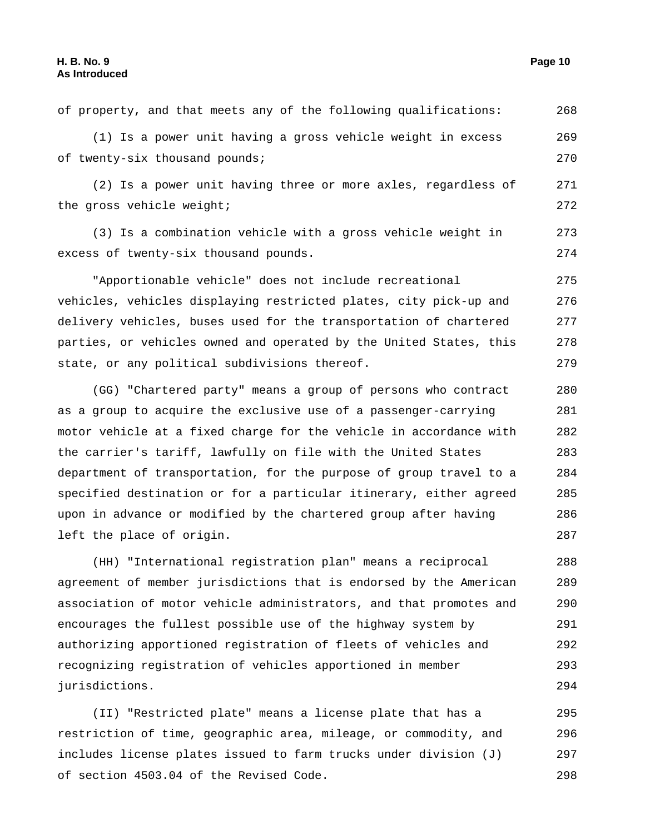of property, and that meets any of the following qualifications: 268

(1) Is a power unit having a gross vehicle weight in excess of twenty-six thousand pounds; 269 270

(2) Is a power unit having three or more axles, regardless of the gross vehicle weight; 271 272

(3) Is a combination vehicle with a gross vehicle weight in excess of twenty-six thousand pounds. 273 274

"Apportionable vehicle" does not include recreational vehicles, vehicles displaying restricted plates, city pick-up and delivery vehicles, buses used for the transportation of chartered parties, or vehicles owned and operated by the United States, this state, or any political subdivisions thereof. 275 276 277 278 279

(GG) "Chartered party" means a group of persons who contract as a group to acquire the exclusive use of a passenger-carrying motor vehicle at a fixed charge for the vehicle in accordance with the carrier's tariff, lawfully on file with the United States department of transportation, for the purpose of group travel to a specified destination or for a particular itinerary, either agreed upon in advance or modified by the chartered group after having left the place of origin. 280 281 282 283 284 285 286 287

(HH) "International registration plan" means a reciprocal agreement of member jurisdictions that is endorsed by the American association of motor vehicle administrators, and that promotes and encourages the fullest possible use of the highway system by authorizing apportioned registration of fleets of vehicles and recognizing registration of vehicles apportioned in member jurisdictions. 288 289 290 291 292 293 294

(II) "Restricted plate" means a license plate that has a restriction of time, geographic area, mileage, or commodity, and includes license plates issued to farm trucks under division (J) of section 4503.04 of the Revised Code. 295 296 297 298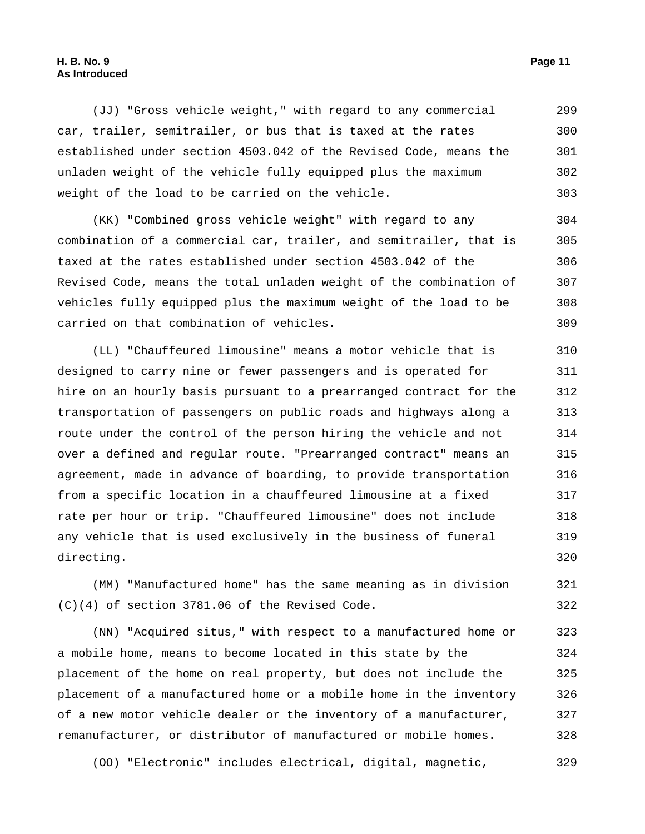#### **H. B. No. 9 Page 11 As Introduced**

(JJ) "Gross vehicle weight," with regard to any commercial car, trailer, semitrailer, or bus that is taxed at the rates established under section 4503.042 of the Revised Code, means the unladen weight of the vehicle fully equipped plus the maximum weight of the load to be carried on the vehicle. 299 300 301 302 303

(KK) "Combined gross vehicle weight" with regard to any combination of a commercial car, trailer, and semitrailer, that is taxed at the rates established under section 4503.042 of the Revised Code, means the total unladen weight of the combination of vehicles fully equipped plus the maximum weight of the load to be carried on that combination of vehicles. 304 305 306 307 308 309

(LL) "Chauffeured limousine" means a motor vehicle that is designed to carry nine or fewer passengers and is operated for hire on an hourly basis pursuant to a prearranged contract for the transportation of passengers on public roads and highways along a route under the control of the person hiring the vehicle and not over a defined and regular route. "Prearranged contract" means an agreement, made in advance of boarding, to provide transportation from a specific location in a chauffeured limousine at a fixed rate per hour or trip. "Chauffeured limousine" does not include any vehicle that is used exclusively in the business of funeral directing. 310 311 312 313 314 315 316 317 318 319 320

(MM) "Manufactured home" has the same meaning as in division (C)(4) of section 3781.06 of the Revised Code. 321 322

(NN) "Acquired situs," with respect to a manufactured home or a mobile home, means to become located in this state by the placement of the home on real property, but does not include the placement of a manufactured home or a mobile home in the inventory of a new motor vehicle dealer or the inventory of a manufacturer, remanufacturer, or distributor of manufactured or mobile homes. 323 324 325 326 327 328

(OO) "Electronic" includes electrical, digital, magnetic, 329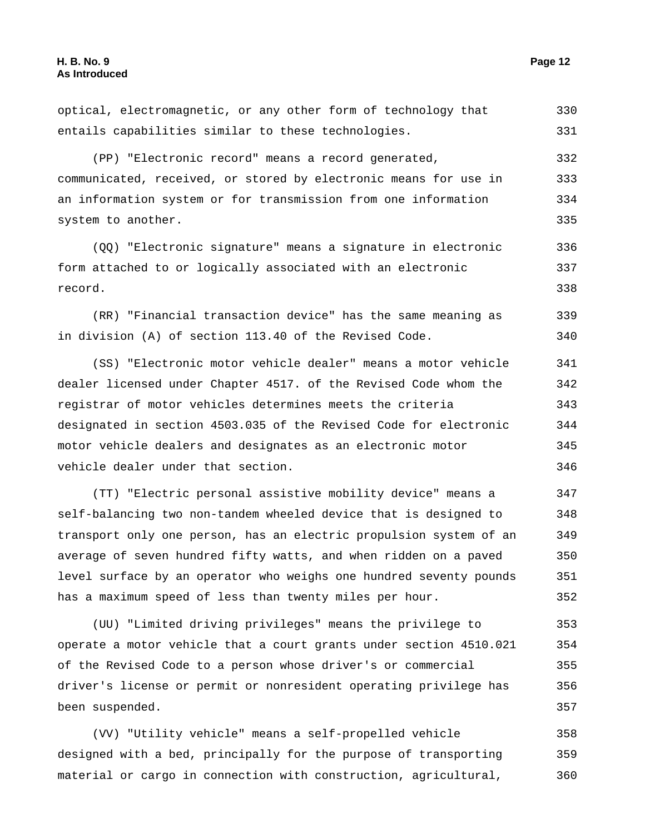| optical, electromagnetic, or any other form of technology that    | 330 |
|-------------------------------------------------------------------|-----|
| entails capabilities similar to these technologies.               | 331 |
| (PP) "Electronic record" means a record generated,                | 332 |
| communicated, received, or stored by electronic means for use in  | 333 |
| an information system or for transmission from one information    | 334 |
| system to another.                                                | 335 |
| (QQ) "Electronic signature" means a signature in electronic       | 336 |
| form attached to or logically associated with an electronic       | 337 |
| record.                                                           | 338 |
| (RR) "Financial transaction device" has the same meaning as       | 339 |
| in division (A) of section 113.40 of the Revised Code.            | 340 |
| (SS) "Electronic motor vehicle dealer" means a motor vehicle      | 341 |
| dealer licensed under Chapter 4517. of the Revised Code whom the  | 342 |
| registrar of motor vehicles determines meets the criteria         | 343 |
| designated in section 4503.035 of the Revised Code for electronic | 344 |
| motor vehicle dealers and designates as an electronic motor       | 345 |
| vehicle dealer under that section.                                | 346 |

(TT) "Electric personal assistive mobility device" means a self-balancing two non-tandem wheeled device that is designed to transport only one person, has an electric propulsion system of an average of seven hundred fifty watts, and when ridden on a paved level surface by an operator who weighs one hundred seventy pounds has a maximum speed of less than twenty miles per hour. 347 348 349 350 351 352

(UU) "Limited driving privileges" means the privilege to operate a motor vehicle that a court grants under section 4510.021 of the Revised Code to a person whose driver's or commercial driver's license or permit or nonresident operating privilege has been suspended. 353 354 355 356 357

(VV) "Utility vehicle" means a self-propelled vehicle designed with a bed, principally for the purpose of transporting material or cargo in connection with construction, agricultural, 358 359 360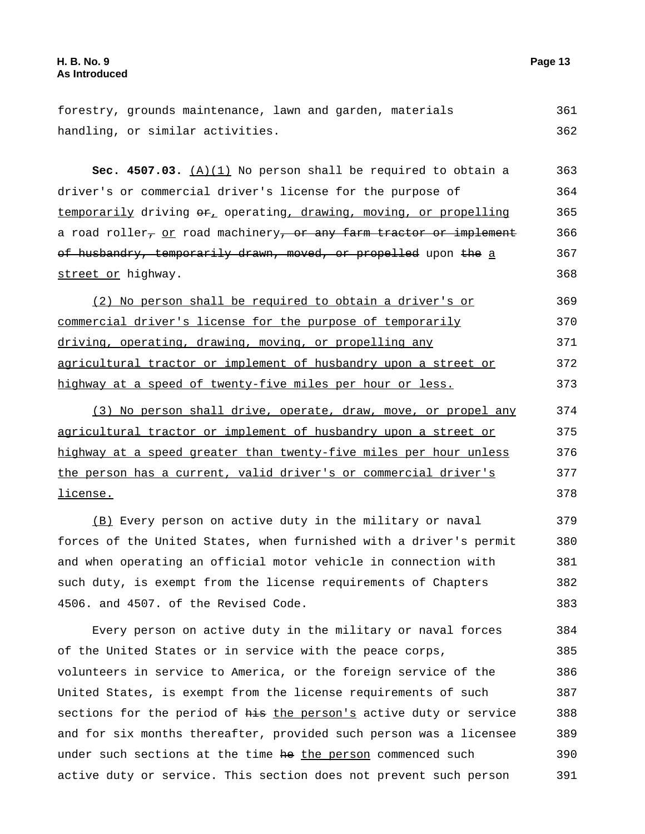forestry, grounds maintenance, lawn and garden, materials handling, or similar activities. 361 362

**Sec. 4507.03.** (A)(1) No person shall be required to obtain a driver's or commercial driver's license for the purpose of temporarily driving  $\Theta_{\mathcal{L}}$  operating, drawing, moving, or propelling a road roller<sub>7</sub> or road machinery, or any farm tractor or implement of husbandry, temporarily drawn, moved, or propelled upon the a street or highway. 363 364 365 366 367 368

(2) No person shall be required to obtain a driver's or commercial driver's license for the purpose of temporarily driving, operating, drawing, moving, or propelling any agricultural tractor or implement of husbandry upon a street or highway at a speed of twenty-five miles per hour or less. 369 370 371 372 373

(3) No person shall drive, operate, draw, move, or propel any agricultural tractor or implement of husbandry upon a street or highway at a speed greater than twenty-five miles per hour unless the person has a current, valid driver's or commercial driver's license. 374 375 376 377 378

(B) Every person on active duty in the military or naval forces of the United States, when furnished with a driver's permit and when operating an official motor vehicle in connection with such duty, is exempt from the license requirements of Chapters 4506. and 4507. of the Revised Code. 379 380 381 382 383

Every person on active duty in the military or naval forces of the United States or in service with the peace corps, volunteers in service to America, or the foreign service of the United States, is exempt from the license requirements of such sections for the period of his the person's active duty or service and for six months thereafter, provided such person was a licensee under such sections at the time he the person commenced such active duty or service. This section does not prevent such person 384 385 386 387 388 389 390 391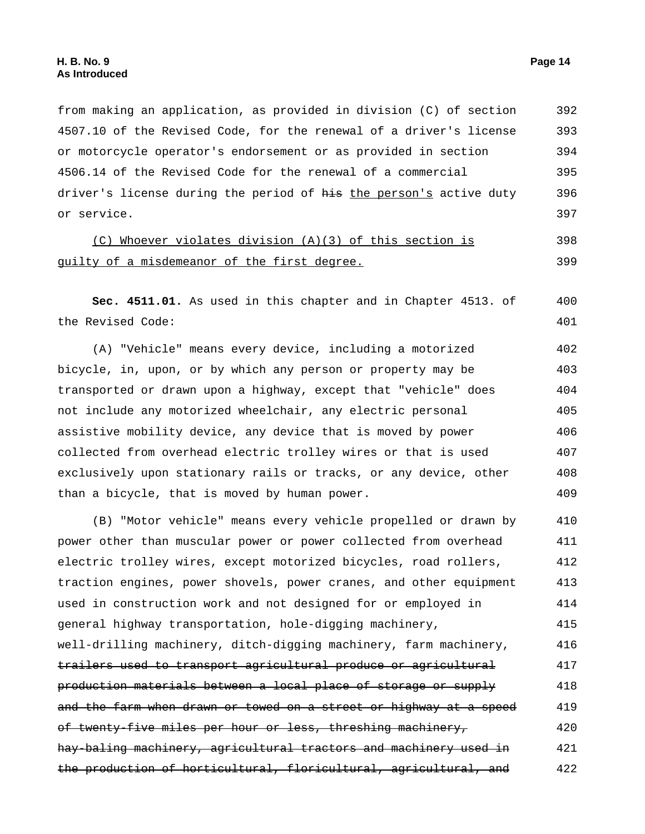| 4507.10 of the Revised Code, for the renewal of a driver's license            | 393 |
|-------------------------------------------------------------------------------|-----|
| or motorcycle operator's endorsement or as provided in section                | 394 |
| 4506.14 of the Revised Code for the renewal of a commercial                   | 395 |
| driver's license during the period of <del>his</del> the person's active duty | 396 |
| or service.                                                                   | 397 |
| (C) Whoever violates division (A)(3) of this section is                       | 398 |
| <u>guilty of a misdemeanor of the first degree.</u>                           | 399 |
|                                                                               |     |
| Sec. 4511.01. As used in this chapter and in Chapter 4513. of                 | 400 |
| the Revised Code:                                                             | 401 |
| (A) "Vehicle" means every device, including a motorized                       | 402 |
| bicycle, in, upon, or by which any person or property may be                  | 403 |
| transported or drawn upon a highway, except that "vehicle" does               | 404 |
| not include any motorized wheelchair, any electric personal                   | 405 |
| assistive mobility device, any device that is moved by power                  | 406 |
| collected from overhead electric trolley wires or that is used                | 407 |
| exclusively upon stationary rails or tracks, or any device, other             | 408 |
| than a bicycle, that is moved by human power.                                 | 409 |
| (B) "Motor vehicle" means every vehicle propelled or drawn by                 | 410 |
| power other than muscular power or power collected from overhead              | 411 |
| electric trolley wires, except motorized bicycles, road rollers,              | 412 |
| traction engines, power shovels, power cranes, and other equipment            | 413 |
| used in construction work and not designed for or employed in                 | 414 |
| general highway transportation, hole-digging machinery,                       | 415 |
| well-drilling machinery, ditch-digging machinery, farm machinery,             | 416 |
| <del>trailers used to transport agricultural produce or agricultural</del>    | 417 |
| production materials between a local place of storage or supply               | 418 |
| and the farm when drawn or towed on a street or highway at a speed            | 419 |
| of twenty five miles per hour or less, threshing machinery,                   | 420 |
| hay-baling machinery, agricultural tractors and machinery used in             | 421 |
|                                                                               |     |

from making an application, as provided in division (C) of section 392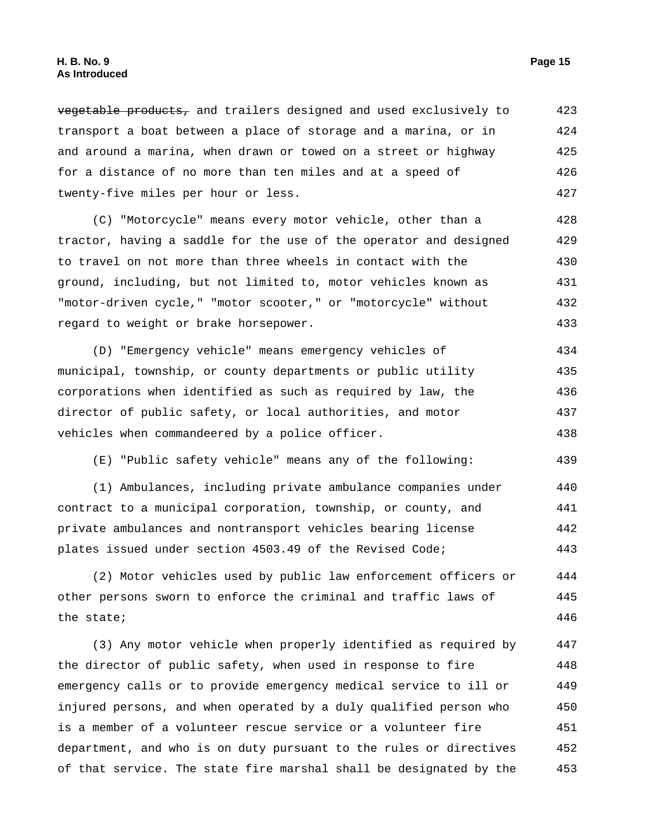vegetable products, and trailers designed and used exclusively to transport a boat between a place of storage and a marina, or in and around a marina, when drawn or towed on a street or highway for a distance of no more than ten miles and at a speed of twenty-five miles per hour or less. 423 424 425 426 427

(C) "Motorcycle" means every motor vehicle, other than a tractor, having a saddle for the use of the operator and designed to travel on not more than three wheels in contact with the ground, including, but not limited to, motor vehicles known as "motor-driven cycle," "motor scooter," or "motorcycle" without regard to weight or brake horsepower. 428 429 430 431 432 433

(D) "Emergency vehicle" means emergency vehicles of municipal, township, or county departments or public utility corporations when identified as such as required by law, the director of public safety, or local authorities, and motor vehicles when commandeered by a police officer. 434 435 436 437 438

(E) "Public safety vehicle" means any of the following: 439

(1) Ambulances, including private ambulance companies under contract to a municipal corporation, township, or county, and private ambulances and nontransport vehicles bearing license plates issued under section 4503.49 of the Revised Code; 440 441 442 443

(2) Motor vehicles used by public law enforcement officers or other persons sworn to enforce the criminal and traffic laws of the state; 444 445 446

(3) Any motor vehicle when properly identified as required by the director of public safety, when used in response to fire emergency calls or to provide emergency medical service to ill or injured persons, and when operated by a duly qualified person who is a member of a volunteer rescue service or a volunteer fire department, and who is on duty pursuant to the rules or directives of that service. The state fire marshal shall be designated by the 447 448 449 450 451 452 453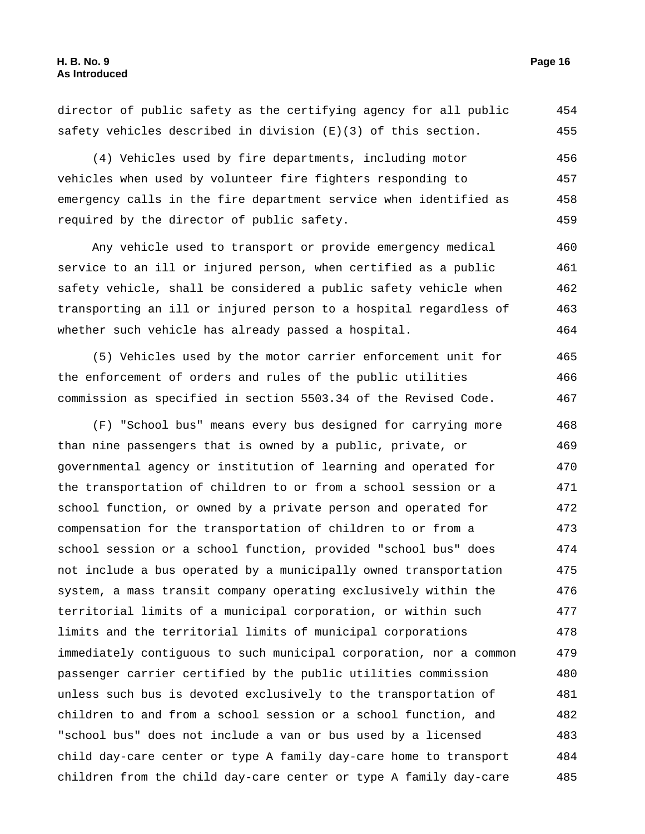director of public safety as the certifying agency for all public safety vehicles described in division (E)(3) of this section. 454 455

(4) Vehicles used by fire departments, including motor vehicles when used by volunteer fire fighters responding to emergency calls in the fire department service when identified as required by the director of public safety. 456 457 458 459

Any vehicle used to transport or provide emergency medical service to an ill or injured person, when certified as a public safety vehicle, shall be considered a public safety vehicle when transporting an ill or injured person to a hospital regardless of whether such vehicle has already passed a hospital. 460 461 462 463 464

(5) Vehicles used by the motor carrier enforcement unit for the enforcement of orders and rules of the public utilities commission as specified in section 5503.34 of the Revised Code. 465 466 467

(F) "School bus" means every bus designed for carrying more than nine passengers that is owned by a public, private, or governmental agency or institution of learning and operated for the transportation of children to or from a school session or a school function, or owned by a private person and operated for compensation for the transportation of children to or from a school session or a school function, provided "school bus" does not include a bus operated by a municipally owned transportation system, a mass transit company operating exclusively within the territorial limits of a municipal corporation, or within such limits and the territorial limits of municipal corporations immediately contiguous to such municipal corporation, nor a common passenger carrier certified by the public utilities commission unless such bus is devoted exclusively to the transportation of children to and from a school session or a school function, and "school bus" does not include a van or bus used by a licensed child day-care center or type A family day-care home to transport children from the child day-care center or type A family day-care 468 469 470 471 472 473 474 475 476 477 478 479 480 481 482 483 484 485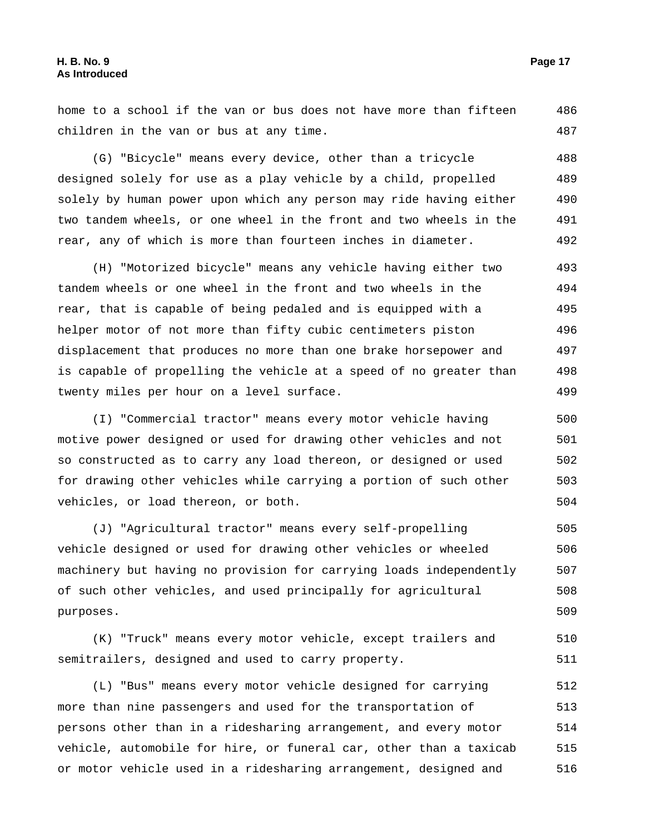home to a school if the van or bus does not have more than fifteen children in the van or bus at any time. 486 487

(G) "Bicycle" means every device, other than a tricycle designed solely for use as a play vehicle by a child, propelled solely by human power upon which any person may ride having either two tandem wheels, or one wheel in the front and two wheels in the rear, any of which is more than fourteen inches in diameter. 488 489 490 491 492

(H) "Motorized bicycle" means any vehicle having either two tandem wheels or one wheel in the front and two wheels in the rear, that is capable of being pedaled and is equipped with a helper motor of not more than fifty cubic centimeters piston displacement that produces no more than one brake horsepower and is capable of propelling the vehicle at a speed of no greater than twenty miles per hour on a level surface. 493 494 495 496 497 498 499

(I) "Commercial tractor" means every motor vehicle having motive power designed or used for drawing other vehicles and not so constructed as to carry any load thereon, or designed or used for drawing other vehicles while carrying a portion of such other vehicles, or load thereon, or both. 500 501 502 503 504

(J) "Agricultural tractor" means every self-propelling vehicle designed or used for drawing other vehicles or wheeled machinery but having no provision for carrying loads independently of such other vehicles, and used principally for agricultural purposes. 505 506 507 508 509

(K) "Truck" means every motor vehicle, except trailers and semitrailers, designed and used to carry property. 510 511

(L) "Bus" means every motor vehicle designed for carrying more than nine passengers and used for the transportation of persons other than in a ridesharing arrangement, and every motor vehicle, automobile for hire, or funeral car, other than a taxicab or motor vehicle used in a ridesharing arrangement, designed and 512 513 514 515 516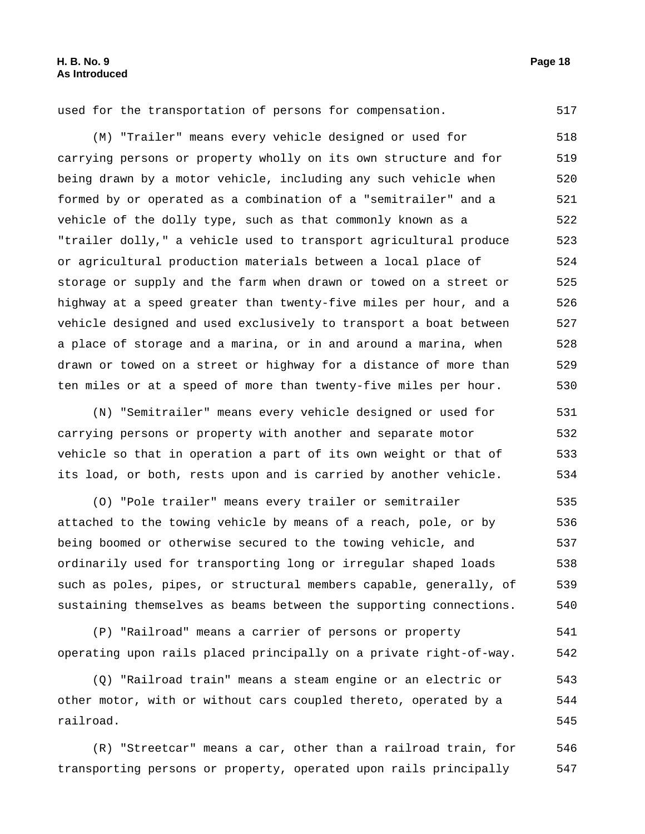used for the transportation of persons for compensation.  $517$ 

(M) "Trailer" means every vehicle designed or used for carrying persons or property wholly on its own structure and for being drawn by a motor vehicle, including any such vehicle when formed by or operated as a combination of a "semitrailer" and a vehicle of the dolly type, such as that commonly known as a "trailer dolly," a vehicle used to transport agricultural produce or agricultural production materials between a local place of storage or supply and the farm when drawn or towed on a street or highway at a speed greater than twenty-five miles per hour, and a vehicle designed and used exclusively to transport a boat between a place of storage and a marina, or in and around a marina, when drawn or towed on a street or highway for a distance of more than ten miles or at a speed of more than twenty-five miles per hour. 518 519 520 521 522 523 524 525 526 527 528 529 530

(N) "Semitrailer" means every vehicle designed or used for carrying persons or property with another and separate motor vehicle so that in operation a part of its own weight or that of its load, or both, rests upon and is carried by another vehicle. 531 532 533 534

(O) "Pole trailer" means every trailer or semitrailer attached to the towing vehicle by means of a reach, pole, or by being boomed or otherwise secured to the towing vehicle, and ordinarily used for transporting long or irregular shaped loads such as poles, pipes, or structural members capable, generally, of sustaining themselves as beams between the supporting connections. 535 536 537 538 539 540

(P) "Railroad" means a carrier of persons or property operating upon rails placed principally on a private right-of-way. 541 542

(Q) "Railroad train" means a steam engine or an electric or other motor, with or without cars coupled thereto, operated by a railroad. 543 544 545

(R) "Streetcar" means a car, other than a railroad train, for transporting persons or property, operated upon rails principally 546 547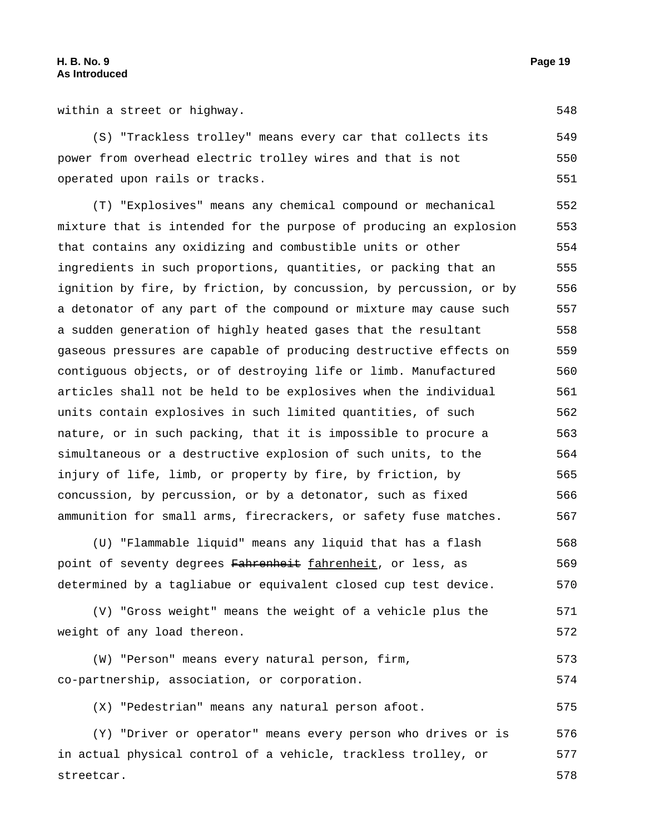within a street or highway. 548

(S) "Trackless trolley" means every car that collects its power from overhead electric trolley wires and that is not operated upon rails or tracks. 549 550 551

(T) "Explosives" means any chemical compound or mechanical mixture that is intended for the purpose of producing an explosion that contains any oxidizing and combustible units or other ingredients in such proportions, quantities, or packing that an ignition by fire, by friction, by concussion, by percussion, or by a detonator of any part of the compound or mixture may cause such a sudden generation of highly heated gases that the resultant gaseous pressures are capable of producing destructive effects on contiguous objects, or of destroying life or limb. Manufactured articles shall not be held to be explosives when the individual units contain explosives in such limited quantities, of such nature, or in such packing, that it is impossible to procure a simultaneous or a destructive explosion of such units, to the injury of life, limb, or property by fire, by friction, by concussion, by percussion, or by a detonator, such as fixed ammunition for small arms, firecrackers, or safety fuse matches. 552 553 554 555 556 557 558 559 560 561 562 563 564 565 566 567

(U) "Flammable liquid" means any liquid that has a flash point of seventy degrees Fahrenheit fahrenheit, or less, as determined by a tagliabue or equivalent closed cup test device. 568 569 570

(V) "Gross weight" means the weight of a vehicle plus the weight of any load thereon. 571 572

(W) "Person" means every natural person, firm, co-partnership, association, or corporation. 573 574

(X) "Pedestrian" means any natural person afoot. 575

(Y) "Driver or operator" means every person who drives or is in actual physical control of a vehicle, trackless trolley, or streetcar. 576 577 578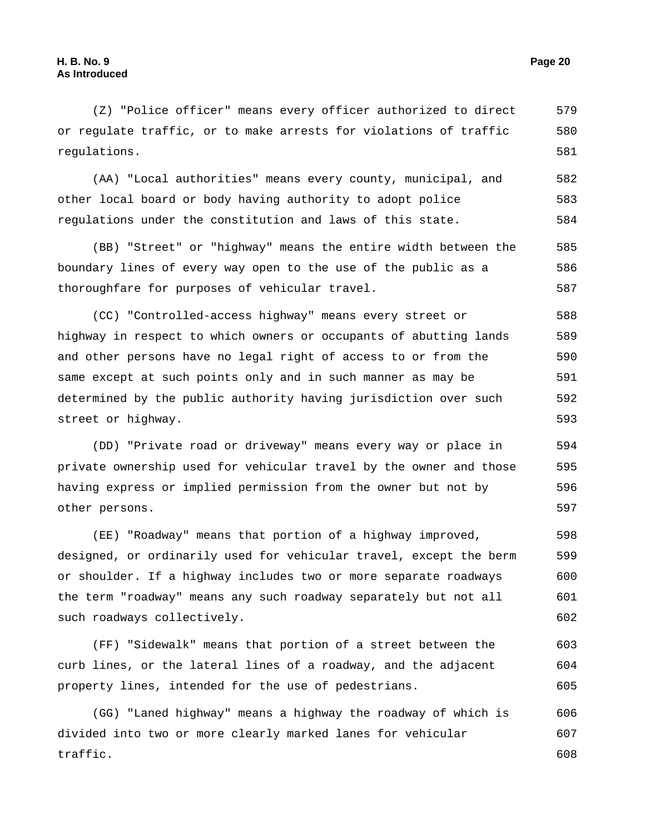regulations.

(Z) "Police officer" means every officer authorized to direct or regulate traffic, or to make arrests for violations of traffic 579 580

(AA) "Local authorities" means every county, municipal, and other local board or body having authority to adopt police regulations under the constitution and laws of this state. 582 583 584

(BB) "Street" or "highway" means the entire width between the boundary lines of every way open to the use of the public as a thoroughfare for purposes of vehicular travel. 585 586 587

(CC) "Controlled-access highway" means every street or highway in respect to which owners or occupants of abutting lands and other persons have no legal right of access to or from the same except at such points only and in such manner as may be determined by the public authority having jurisdiction over such street or highway. 588 589 590 591 592 593

(DD) "Private road or driveway" means every way or place in private ownership used for vehicular travel by the owner and those having express or implied permission from the owner but not by other persons. 594 595 596 597

(EE) "Roadway" means that portion of a highway improved, designed, or ordinarily used for vehicular travel, except the berm or shoulder. If a highway includes two or more separate roadways the term "roadway" means any such roadway separately but not all such roadways collectively. 598 599 600 601 602

(FF) "Sidewalk" means that portion of a street between the curb lines, or the lateral lines of a roadway, and the adjacent property lines, intended for the use of pedestrians. 603 604 605

(GG) "Laned highway" means a highway the roadway of which is divided into two or more clearly marked lanes for vehicular traffic. 606 607 608

581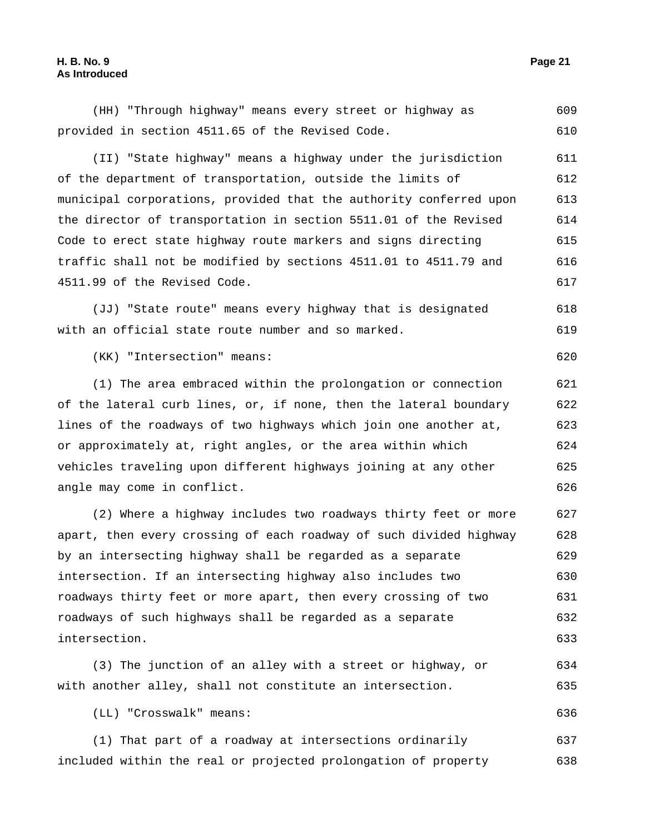### **H. B. No. 9 Page 21 As Introduced**

| (HH) "Through highway" means every street or highway as            | 609 |
|--------------------------------------------------------------------|-----|
| provided in section 4511.65 of the Revised Code.                   | 610 |
| (II) "State highway" means a highway under the jurisdiction        | 611 |
| of the department of transportation, outside the limits of         | 612 |
| municipal corporations, provided that the authority conferred upon | 613 |
| the director of transportation in section 5511.01 of the Revised   | 614 |
| Code to erect state highway route markers and signs directing      | 615 |
| traffic shall not be modified by sections 4511.01 to 4511.79 and   | 616 |
| 4511.99 of the Revised Code.                                       | 617 |
| (JJ) "State route" means every highway that is designated          | 618 |
| with an official state route number and so marked.                 | 619 |
| (KK) "Intersection" means:                                         | 620 |
| (1) The area embraced within the prolongation or connection        | 621 |
| of the lateral curb lines, or, if none, then the lateral boundary  | 622 |
| lines of the roadways of two highways which join one another at,   | 623 |
| or approximately at, right angles, or the area within which        | 624 |
| vehicles traveling upon different highways joining at any other    | 625 |
| angle may come in conflict.                                        | 626 |
| (2) Where a highway includes two roadways thirty feet or more      | 627 |
| apart, then every crossing of each roadway of such divided highway | 628 |
| by an intersecting highway shall be regarded as a separate         | 629 |
| intersection. If an intersecting highway also includes two         | 630 |
| roadways thirty feet or more apart, then every crossing of two     | 631 |
| roadways of such highways shall be regarded as a separate          | 632 |
| intersection.                                                      | 633 |
| (3) The junction of an alley with a street or highway, or          | 634 |
| with another alley, shall not constitute an intersection.          | 635 |
| (LL) "Crosswalk" means:                                            | 636 |
| (1) That part of a roadway at intersections ordinarily             | 637 |
| included within the real or projected prolongation of property     | 638 |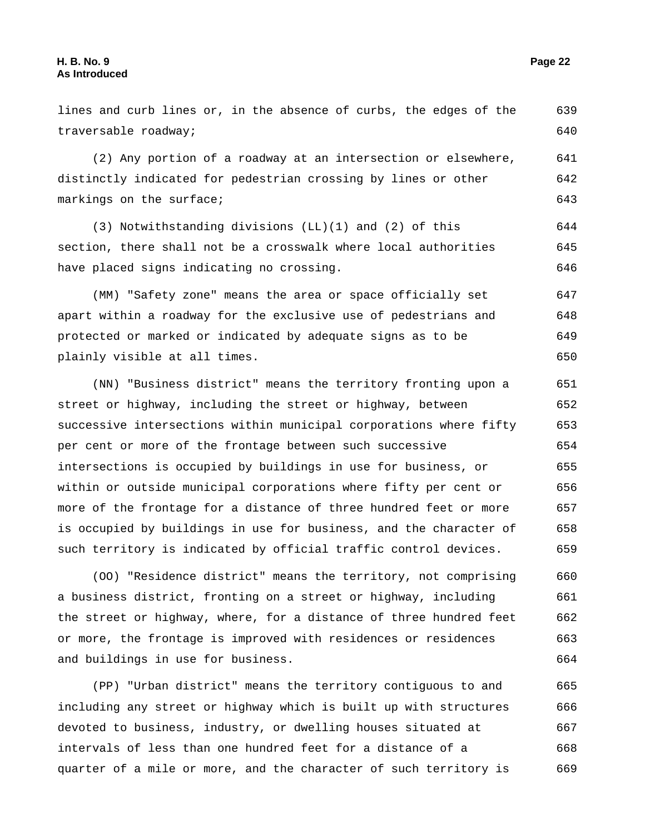#### **H. B. No. 9 Page 22 As Introduced**

| lines and curb lines or, in the absence of curbs, the edges of the |
|--------------------------------------------------------------------|
| traversable roadway;                                               |
| (2) Any portion of a roadway at an intersection or elsewhere,      |
| distinctly indicated for pedestrian crossing by lines or other     |

markings on the surface;

(3) Notwithstanding divisions (LL)(1) and (2) of this section, there shall not be a crosswalk where local authorities have placed signs indicating no crossing. 644 645 646

(MM) "Safety zone" means the area or space officially set apart within a roadway for the exclusive use of pedestrians and protected or marked or indicated by adequate signs as to be plainly visible at all times. 647 648 649 650

(NN) "Business district" means the territory fronting upon a street or highway, including the street or highway, between successive intersections within municipal corporations where fifty per cent or more of the frontage between such successive intersections is occupied by buildings in use for business, or within or outside municipal corporations where fifty per cent or more of the frontage for a distance of three hundred feet or more is occupied by buildings in use for business, and the character of such territory is indicated by official traffic control devices. 651 652 653 654 655 656 657 658 659

(OO) "Residence district" means the territory, not comprising a business district, fronting on a street or highway, including the street or highway, where, for a distance of three hundred feet or more, the frontage is improved with residences or residences and buildings in use for business. 660 661 662 663 664

(PP) "Urban district" means the territory contiguous to and including any street or highway which is built up with structures devoted to business, industry, or dwelling houses situated at intervals of less than one hundred feet for a distance of a quarter of a mile or more, and the character of such territory is 665 666 667 668 669

639 640

641 642

643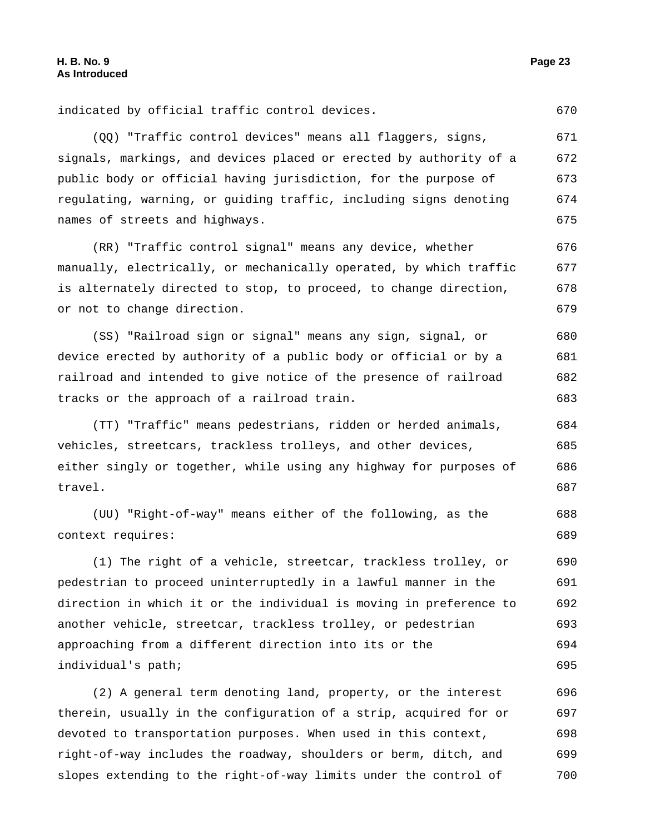indicated by official traffic control devices. 670

(QQ) "Traffic control devices" means all flaggers, signs, signals, markings, and devices placed or erected by authority of a public body or official having jurisdiction, for the purpose of regulating, warning, or guiding traffic, including signs denoting names of streets and highways. 671 672 673 674 675

(RR) "Traffic control signal" means any device, whether manually, electrically, or mechanically operated, by which traffic is alternately directed to stop, to proceed, to change direction, or not to change direction. 676 677 678 679

(SS) "Railroad sign or signal" means any sign, signal, or device erected by authority of a public body or official or by a railroad and intended to give notice of the presence of railroad tracks or the approach of a railroad train. 680 681 682 683

(TT) "Traffic" means pedestrians, ridden or herded animals, vehicles, streetcars, trackless trolleys, and other devices, either singly or together, while using any highway for purposes of travel. 684 685 686 687

(UU) "Right-of-way" means either of the following, as the context requires: 688 689

(1) The right of a vehicle, streetcar, trackless trolley, or pedestrian to proceed uninterruptedly in a lawful manner in the direction in which it or the individual is moving in preference to another vehicle, streetcar, trackless trolley, or pedestrian approaching from a different direction into its or the individual's path; 690 691 692 693 694 695

(2) A general term denoting land, property, or the interest therein, usually in the configuration of a strip, acquired for or devoted to transportation purposes. When used in this context, right-of-way includes the roadway, shoulders or berm, ditch, and slopes extending to the right-of-way limits under the control of 696 697 698 699 700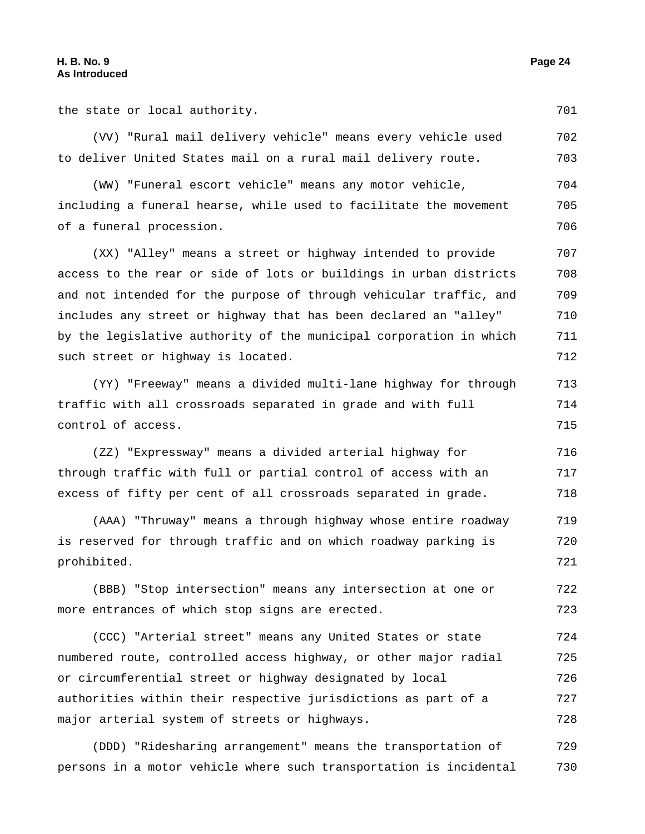the state or local authority. The state or  $\frac{701}{200}$ 

(VV) "Rural mail delivery vehicle" means every vehicle used to deliver United States mail on a rural mail delivery route. 702 703

(WW) "Funeral escort vehicle" means any motor vehicle, including a funeral hearse, while used to facilitate the movement of a funeral procession. 704 705 706

(XX) "Alley" means a street or highway intended to provide access to the rear or side of lots or buildings in urban districts and not intended for the purpose of through vehicular traffic, and includes any street or highway that has been declared an "alley" by the legislative authority of the municipal corporation in which such street or highway is located. 707 708 709 710 711 712

(YY) "Freeway" means a divided multi-lane highway for through traffic with all crossroads separated in grade and with full control of access. 713 714 715

(ZZ) "Expressway" means a divided arterial highway for through traffic with full or partial control of access with an excess of fifty per cent of all crossroads separated in grade. 716 717 718

(AAA) "Thruway" means a through highway whose entire roadway is reserved for through traffic and on which roadway parking is prohibited. 719 720 721

(BBB) "Stop intersection" means any intersection at one or more entrances of which stop signs are erected. 722 723

(CCC) "Arterial street" means any United States or state numbered route, controlled access highway, or other major radial or circumferential street or highway designated by local authorities within their respective jurisdictions as part of a major arterial system of streets or highways. 724 725 726 727 728

(DDD) "Ridesharing arrangement" means the transportation of persons in a motor vehicle where such transportation is incidental 729 730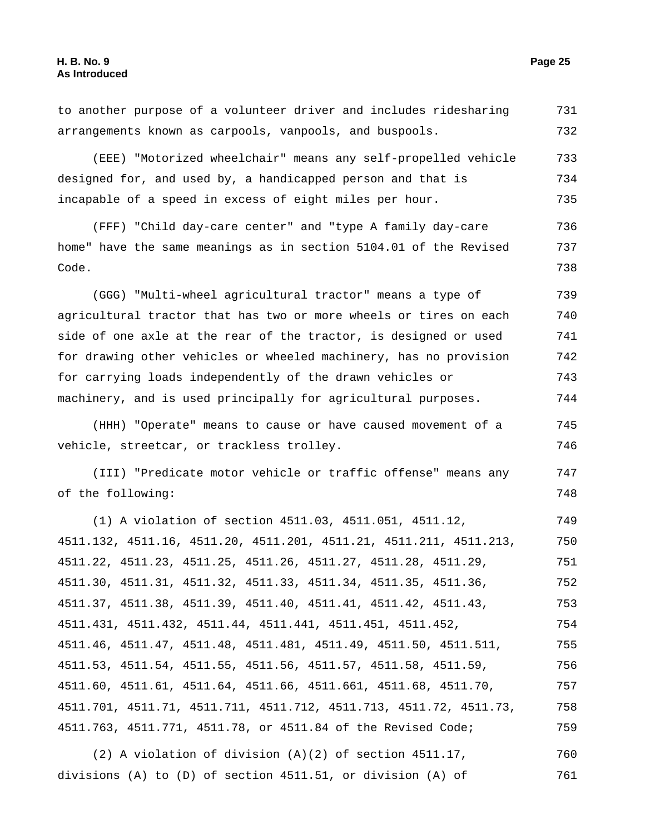(EEE) "Motorized wheelchair" means any self-propelled vehicle designed for, and used by, a handicapped person and that is incapable of a speed in excess of eight miles per hour. 733 734 735

(FFF) "Child day-care center" and "type A family day-care home" have the same meanings as in section 5104.01 of the Revised Code. 736 737 738

(GGG) "Multi-wheel agricultural tractor" means a type of agricultural tractor that has two or more wheels or tires on each side of one axle at the rear of the tractor, is designed or used for drawing other vehicles or wheeled machinery, has no provision for carrying loads independently of the drawn vehicles or machinery, and is used principally for agricultural purposes. 739 740 741 742 743 744

(HHH) "Operate" means to cause or have caused movement of a vehicle, streetcar, or trackless trolley. 745 746

(III) "Predicate motor vehicle or traffic offense" means any of the following: 747 748

(1) A violation of section 4511.03, 4511.051, 4511.12, 4511.132, 4511.16, 4511.20, 4511.201, 4511.21, 4511.211, 4511.213, 4511.22, 4511.23, 4511.25, 4511.26, 4511.27, 4511.28, 4511.29, 4511.30, 4511.31, 4511.32, 4511.33, 4511.34, 4511.35, 4511.36, 4511.37, 4511.38, 4511.39, 4511.40, 4511.41, 4511.42, 4511.43, 4511.431, 4511.432, 4511.44, 4511.441, 4511.451, 4511.452, 4511.46, 4511.47, 4511.48, 4511.481, 4511.49, 4511.50, 4511.511, 4511.53, 4511.54, 4511.55, 4511.56, 4511.57, 4511.58, 4511.59, 4511.60, 4511.61, 4511.64, 4511.66, 4511.661, 4511.68, 4511.70, 4511.701, 4511.71, 4511.711, 4511.712, 4511.713, 4511.72, 4511.73, 4511.763, 4511.771, 4511.78, or 4511.84 of the Revised Code; 749 750 751 752 753 754 755 756 757 758 759

(2) A violation of division (A)(2) of section 4511.17, divisions (A) to (D) of section 4511.51, or division (A) of 760 761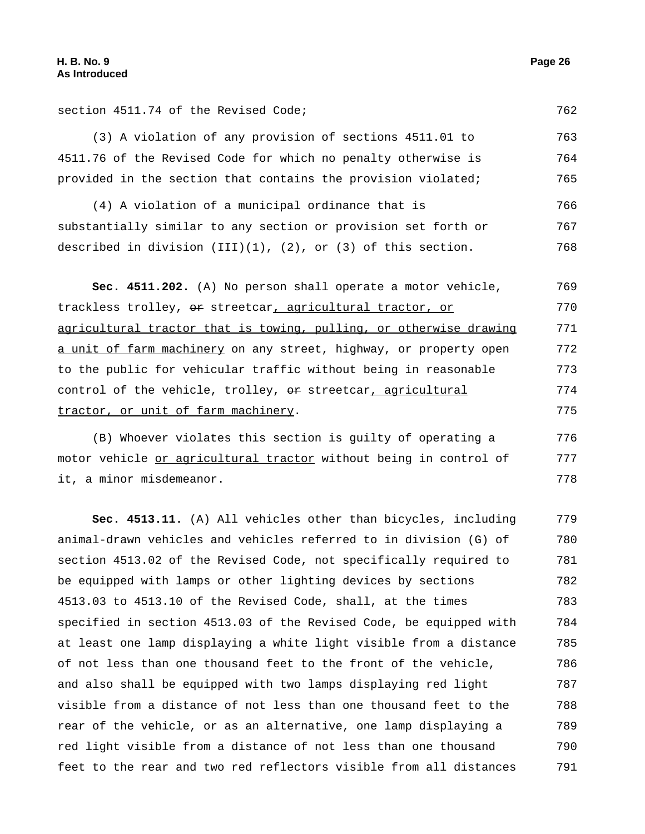section 4511.74 of the Revised Code; 762

(3) A violation of any provision of sections 4511.01 to 4511.76 of the Revised Code for which no penalty otherwise is provided in the section that contains the provision violated; 763 764 765

(4) A violation of a municipal ordinance that is substantially similar to any section or provision set forth or described in division (III)(1), (2), or (3) of this section. 766 767 768

**Sec. 4511.202.** (A) No person shall operate a motor vehicle, trackless trolley, or streetcar, agricultural tractor, or agricultural tractor that is towing, pulling, or otherwise drawing a unit of farm machinery on any street, highway, or property open to the public for vehicular traffic without being in reasonable control of the vehicle, trolley, or streetcar, agricultural tractor, or unit of farm machinery. 769 770 771 772 773 774 775

(B) Whoever violates this section is guilty of operating a motor vehicle or agricultural tractor without being in control of it, a minor misdemeanor. 776 777 778

**Sec. 4513.11.** (A) All vehicles other than bicycles, including animal-drawn vehicles and vehicles referred to in division (G) of section 4513.02 of the Revised Code, not specifically required to be equipped with lamps or other lighting devices by sections 4513.03 to 4513.10 of the Revised Code, shall, at the times specified in section 4513.03 of the Revised Code, be equipped with at least one lamp displaying a white light visible from a distance of not less than one thousand feet to the front of the vehicle, and also shall be equipped with two lamps displaying red light visible from a distance of not less than one thousand feet to the rear of the vehicle, or as an alternative, one lamp displaying a red light visible from a distance of not less than one thousand feet to the rear and two red reflectors visible from all distances 779 780 781 782 783 784 785 786 787 788 789 790 791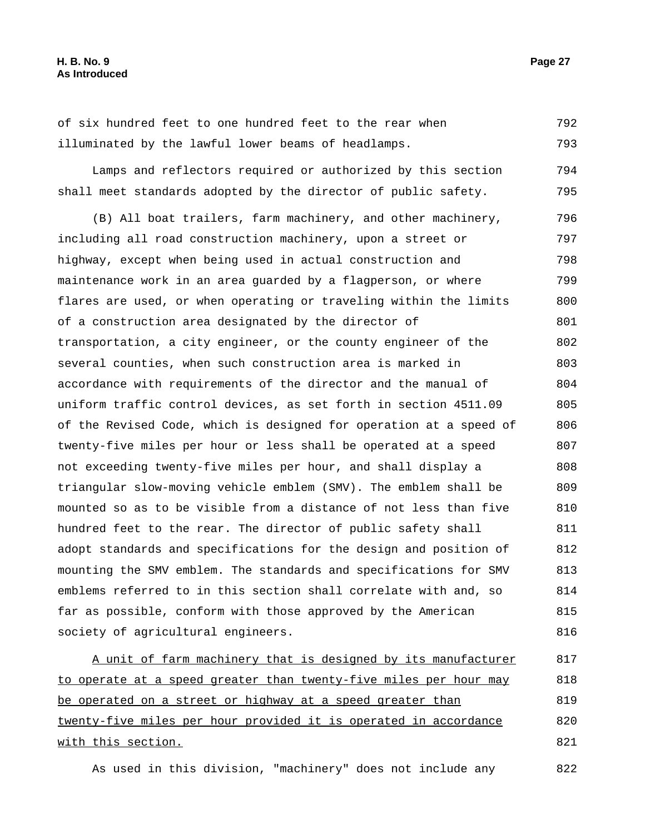of six hundred feet to one hundred feet to the rear when illuminated by the lawful lower beams of headlamps. 792 793

Lamps and reflectors required or authorized by this section shall meet standards adopted by the director of public safety. 794 795

(B) All boat trailers, farm machinery, and other machinery, including all road construction machinery, upon a street or highway, except when being used in actual construction and maintenance work in an area guarded by a flagperson, or where flares are used, or when operating or traveling within the limits of a construction area designated by the director of transportation, a city engineer, or the county engineer of the several counties, when such construction area is marked in accordance with requirements of the director and the manual of uniform traffic control devices, as set forth in section 4511.09 of the Revised Code, which is designed for operation at a speed of twenty-five miles per hour or less shall be operated at a speed not exceeding twenty-five miles per hour, and shall display a triangular slow-moving vehicle emblem (SMV). The emblem shall be mounted so as to be visible from a distance of not less than five hundred feet to the rear. The director of public safety shall adopt standards and specifications for the design and position of mounting the SMV emblem. The standards and specifications for SMV emblems referred to in this section shall correlate with and, so far as possible, conform with those approved by the American society of agricultural engineers. 796 797 798 799 800 801 802 803 804 805 806 807 808 809 810 811 812 813 814 815 816

A unit of farm machinery that is designed by its manufacturer to operate at a speed greater than twenty-five miles per hour may be operated on a street or highway at a speed greater than twenty-five miles per hour provided it is operated in accordance with this section. 817 818 819 820 821

As used in this division, "machinery" does not include any 822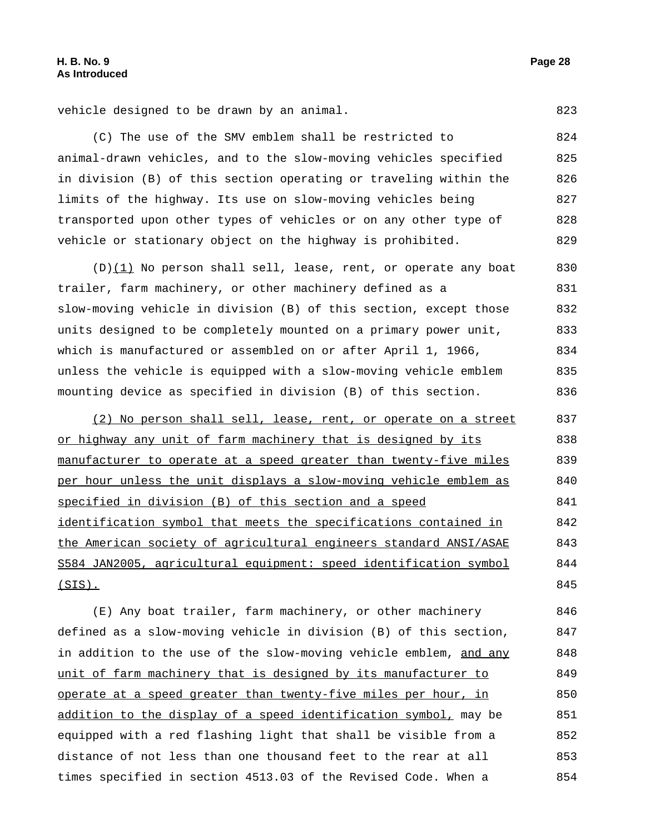vehicle designed to be drawn by an animal. 823

(C) The use of the SMV emblem shall be restricted to animal-drawn vehicles, and to the slow-moving vehicles specified in division (B) of this section operating or traveling within the limits of the highway. Its use on slow-moving vehicles being transported upon other types of vehicles or on any other type of vehicle or stationary object on the highway is prohibited. 824 825 826 827 828 829

 $(D)$ (1) No person shall sell, lease, rent, or operate any boat trailer, farm machinery, or other machinery defined as a slow-moving vehicle in division (B) of this section, except those units designed to be completely mounted on a primary power unit, which is manufactured or assembled on or after April 1, 1966, unless the vehicle is equipped with a slow-moving vehicle emblem mounting device as specified in division (B) of this section. 830 831 832 833 834 835 836

(2) No person shall sell, lease, rent, or operate on a street or highway any unit of farm machinery that is designed by its manufacturer to operate at a speed greater than twenty-five miles per hour unless the unit displays a slow-moving vehicle emblem as specified in division (B) of this section and a speed identification symbol that meets the specifications contained in the American society of agricultural engineers standard ANSI/ASAE S584 JAN2005, agricultural equipment: speed identification symbol (SIS). 837 838 839 840 841 842 843 844 845

(E) Any boat trailer, farm machinery, or other machinery defined as a slow-moving vehicle in division (B) of this section, in addition to the use of the slow-moving vehicle emblem, and any unit of farm machinery that is designed by its manufacturer to operate at a speed greater than twenty-five miles per hour, in addition to the display of a speed identification symbol, may be equipped with a red flashing light that shall be visible from a distance of not less than one thousand feet to the rear at all times specified in section 4513.03 of the Revised Code. When a 846 847 848 849 850 851 852 853 854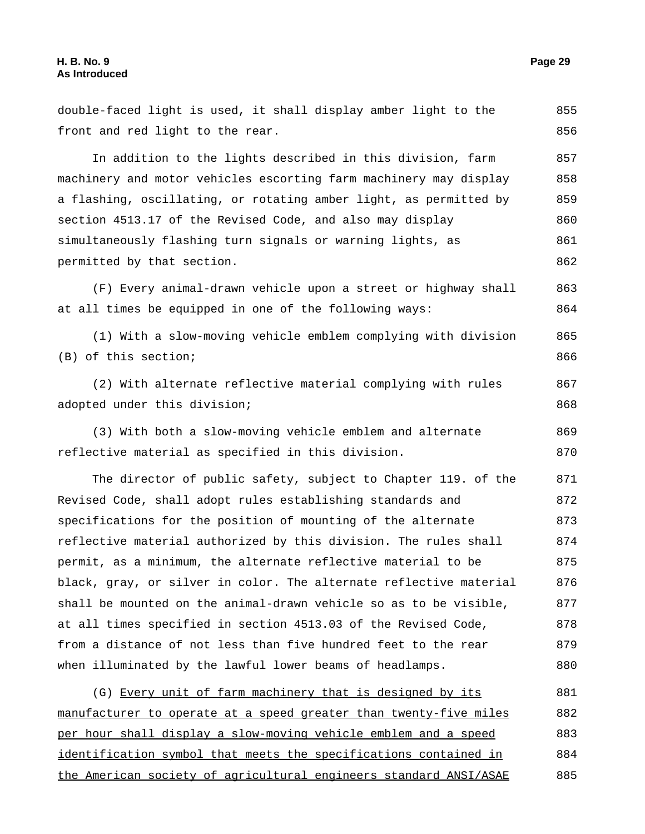| double-faced light is used, it shall display amber light to the    | 855   |
|--------------------------------------------------------------------|-------|
| front and red light to the rear.                                   | 856   |
| In addition to the lights described in this division, farm         | 857   |
| machinery and motor vehicles escorting farm machinery may display  | 858   |
| a flashing, oscillating, or rotating amber light, as permitted by  | 859   |
| section 4513.17 of the Revised Code, and also may display          | 860   |
| simultaneously flashing turn signals or warning lights, as         | 861   |
| permitted by that section.                                         | 862   |
| (F) Every animal-drawn vehicle upon a street or highway shall      | 863   |
| at all times be equipped in one of the following ways:             | 864   |
| (1) With a slow-moving vehicle emblem complying with division      | 865   |
| (B) of this section;                                               | 866   |
| (2) With alternate reflective material complying with rules        | 867   |
| adopted under this division;                                       | 868   |
| (3) With both a slow-moving vehicle emblem and alternate           | 869   |
| reflective material as specified in this division.                 | 870   |
| The director of public safety, subject to Chapter 119. of the      | 871   |
| Revised Code, shall adopt rules establishing standards and         | 872   |
| specifications for the position of mounting of the alternate       | 873   |
| reflective material authorized by this division. The rules shall   | 874   |
| permit, as a minimum, the alternate reflective material to be      | 875   |
| black, gray, or silver in color. The alternate reflective material | 876   |
| shall be mounted on the animal-drawn vehicle so as to be visible,  | 877   |
| at all times specified in section 4513.03 of the Revised Code,     | 878   |
| from a distance of not less than five hundred feet to the rear     | 879   |
| when illuminated by the lawful lower beams of headlamps.           | 880   |
| (C) Fyery unit of farm machinery that is designed by its           | $881$ |

(G) <u>Every unit of farm machinery that is designed by its</u> manufacturer to operate at a speed greater than twenty-five miles per hour shall display a slow-moving vehicle emblem and a speed identification symbol that meets the specifications contained in the American society of agricultural engineers standard ANSI/ASAE 881 882 883 884 885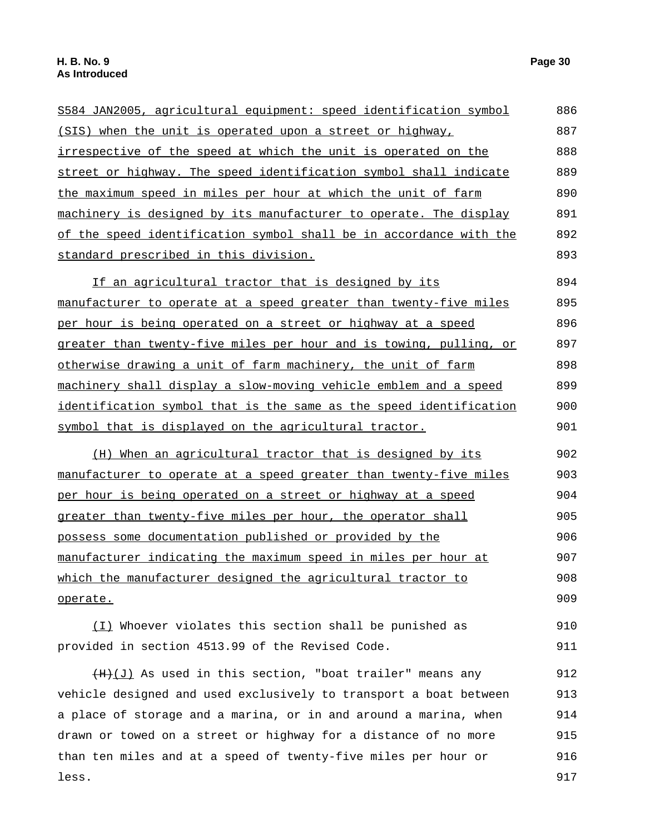less.

| S584 JAN2005, agricultural equipment: speed identification symbol  | 886 |
|--------------------------------------------------------------------|-----|
| (SIS) when the unit is operated upon a street or highway,          | 887 |
| irrespective of the speed at which the unit is operated on the     | 888 |
| street or highway. The speed identification symbol shall indicate  | 889 |
| the maximum speed in miles per hour at which the unit of farm      | 890 |
| machinery is designed by its manufacturer to operate. The display  | 891 |
| of the speed identification symbol shall be in accordance with the | 892 |
| standard prescribed in this division.                              | 893 |
| If an agricultural tractor that is designed by its                 | 894 |
| manufacturer to operate at a speed greater than twenty-five miles  | 895 |
| per hour is being operated on a street or highway at a speed       | 896 |
| greater than twenty-five miles per hour and is towing, pulling, or | 897 |
| otherwise drawing a unit of farm machinery, the unit of farm       | 898 |
| machinery shall display a slow-moving vehicle emblem and a speed   | 899 |
| identification symbol that is the same as the speed identification | 900 |
| symbol that is displayed on the agricultural tractor.              | 901 |
| (H) When an agricultural tractor that is designed by its           | 902 |
| manufacturer to operate at a speed greater than twenty-five miles  | 903 |
| per hour is being operated on a street or highway at a speed       | 904 |
| greater than twenty-five miles per hour, the operator shall        | 905 |
| possess some documentation published or provided by the            | 906 |
| manufacturer indicating the maximum speed in miles per hour at     | 907 |
| which the manufacturer designed the agricultural tractor to        | 908 |
| <u>operate.</u>                                                    | 909 |
| (I) Whoever violates this section shall be punished as             | 910 |
| provided in section 4513.99 of the Revised Code.                   | 911 |
| $(H)$ (J) As used in this section, "boat trailer" means any        | 912 |
| vehicle designed and used exclusively to transport a boat between  | 913 |
| a place of storage and a marina, or in and around a marina, when   | 914 |
| drawn or towed on a street or highway for a distance of no more    | 915 |
| than ten miles and at a speed of twenty-five miles per hour or     | 916 |

917